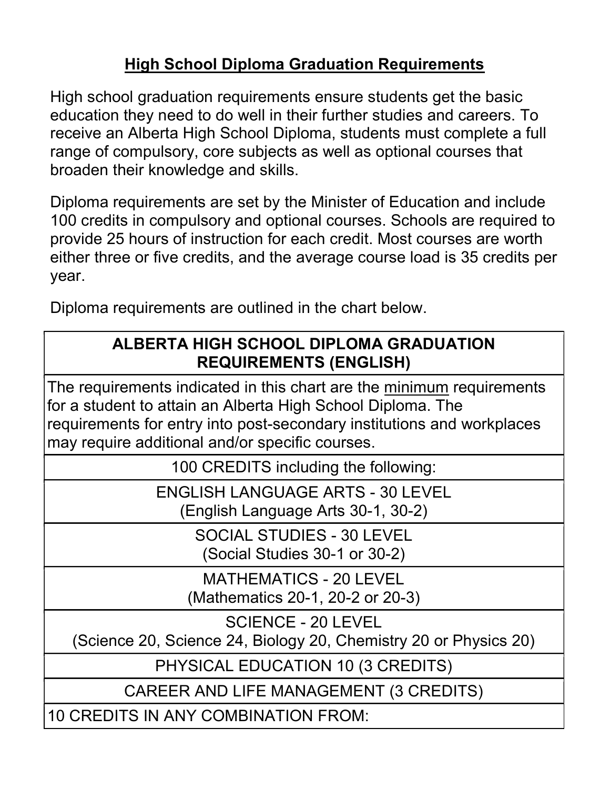## High School Diploma Graduation Requirements

High school graduation requirements ensure students get the basic education they need to do well in their further studies and careers. To receive an Alberta High School Diploma, students must complete a full range of compulsory, core subjects as well as optional courses that broaden their knowledge and skills.

Diploma requirements are set by the Minister of Education and include 100 credits in compulsory and optional courses. Schools are required to provide 25 hours of instruction for each credit. Most courses are worth either three or five credits, and the average course load is 35 credits per year.

Diploma requirements are outlined in the chart below.

## ALBERTA HIGH SCHOOL DIPLOMA GRADUATION REQUIREMENTS (ENGLISH)

The requirements indicated in this chart are the minimum requirements for a student to attain an Alberta High School Diploma. The requirements for entry into post-secondary institutions and workplaces may require additional and/or specific courses.

100 CREDITS including the following:

ENGLISH LANGUAGE ARTS - 30 LEVEL (English Language Arts 30-1, 30-2)

> SOCIAL STUDIES - 30 LEVEL (Social Studies 30-1 or 30-2)

MATHEMATICS - 20 LEVEL (Mathematics 20-1, 20-2 or 20-3)

SCIENCE - 20 LEVEL

(Science 20, Science 24, Biology 20, Chemistry 20 or Physics 20)

PHYSICAL EDUCATION 10 (3 CREDITS)

CAREER AND LIFE MANAGEMENT (3 CREDITS)

10 CREDITS IN ANY COMBINATION FROM: